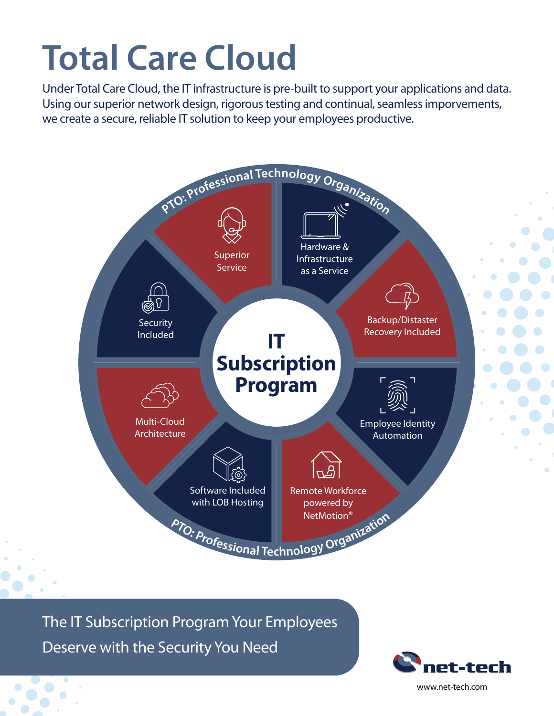# **Total Care Cloud**

Under Total Care Cloud, the IT infrastructure is pre-built to support your applications and data. Using our superior network design, rigorous testing and continual, seamless imporvements, we create a secure, reliable IT solution to keep your employees productive.



The IT Subscription Program Your Employees

Deserve with the Security You Need



www.net-tech.com